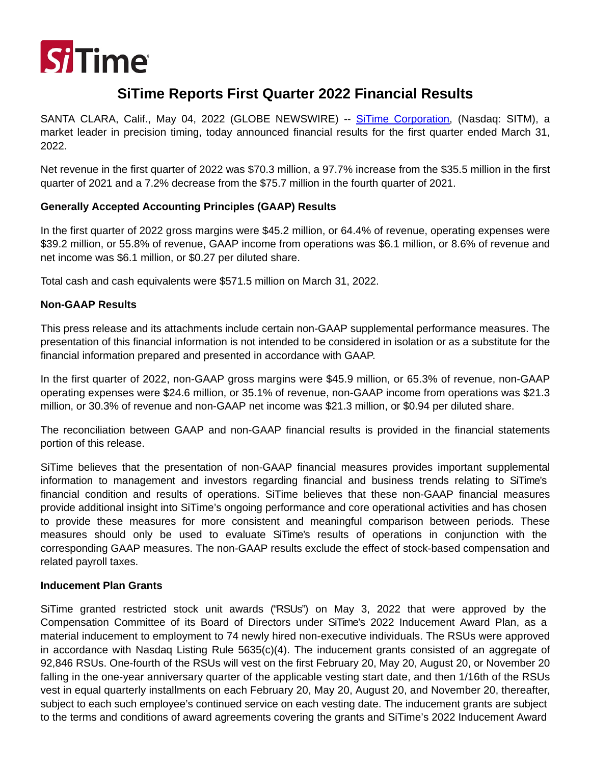

# **SiTime Reports First Quarter 2022 Financial Results**

SANTA CLARA, Calif., May 04, 2022 (GLOBE NEWSWIRE) -- [SiTime Corporation,](https://www.globenewswire.com/Tracker?data=pGf7jMibjf1wbpiHMpBWSsYQLbqemu0Qb-UfHNhmfiMEiD2Ys-5uCtowyZwVmvzRZxs_6Ts-5YJOYKkAwilvsw==) (Nasdaq: SITM), a market leader in precision timing, today announced financial results for the first quarter ended March 31, 2022.

Net revenue in the first quarter of 2022 was \$70.3 million, a 97.7% increase from the \$35.5 million in the first quarter of 2021 and a 7.2% decrease from the \$75.7 million in the fourth quarter of 2021.

# **Generally Accepted Accounting Principles (GAAP) Results**

In the first quarter of 2022 gross margins were \$45.2 million, or 64.4% of revenue, operating expenses were \$39.2 million, or 55.8% of revenue, GAAP income from operations was \$6.1 million, or 8.6% of revenue and net income was \$6.1 million, or \$0.27 per diluted share.

Total cash and cash equivalents were \$571.5 million on March 31, 2022.

# **Non-GAAP Results**

This press release and its attachments include certain non-GAAP supplemental performance measures. The presentation of this financial information is not intended to be considered in isolation or as a substitute for the financial information prepared and presented in accordance with GAAP.

In the first quarter of 2022, non-GAAP gross margins were \$45.9 million, or 65.3% of revenue, non-GAAP operating expenses were \$24.6 million, or 35.1% of revenue, non-GAAP income from operations was \$21.3 million, or 30.3% of revenue and non-GAAP net income was \$21.3 million, or \$0.94 per diluted share.

The reconciliation between GAAP and non-GAAP financial results is provided in the financial statements portion of this release.

SiTime believes that the presentation of non-GAAP financial measures provides important supplemental information to management and investors regarding financial and business trends relating to SiTime's financial condition and results of operations. SiTime believes that these non-GAAP financial measures provide additional insight into SiTime's ongoing performance and core operational activities and has chosen to provide these measures for more consistent and meaningful comparison between periods. These measures should only be used to evaluate SiTime's results of operations in conjunction with the corresponding GAAP measures. The non-GAAP results exclude the effect of stock-based compensation and related payroll taxes.

# **Inducement Plan Grants**

SiTime granted restricted stock unit awards ("RSUs") on May 3, 2022 that were approved by the Compensation Committee of its Board of Directors under SiTime's 2022 Inducement Award Plan, as a material inducement to employment to 74 newly hired non-executive individuals. The RSUs were approved in accordance with Nasdaq Listing Rule 5635(c)(4). The inducement grants consisted of an aggregate of 92,846 RSUs. One-fourth of the RSUs will vest on the first February 20, May 20, August 20, or November 20 falling in the one-year anniversary quarter of the applicable vesting start date, and then 1/16th of the RSUs vest in equal quarterly installments on each February 20, May 20, August 20, and November 20, thereafter, subject to each such employee's continued service on each vesting date. The inducement grants are subject to the terms and conditions of award agreements covering the grants and SiTime's 2022 Inducement Award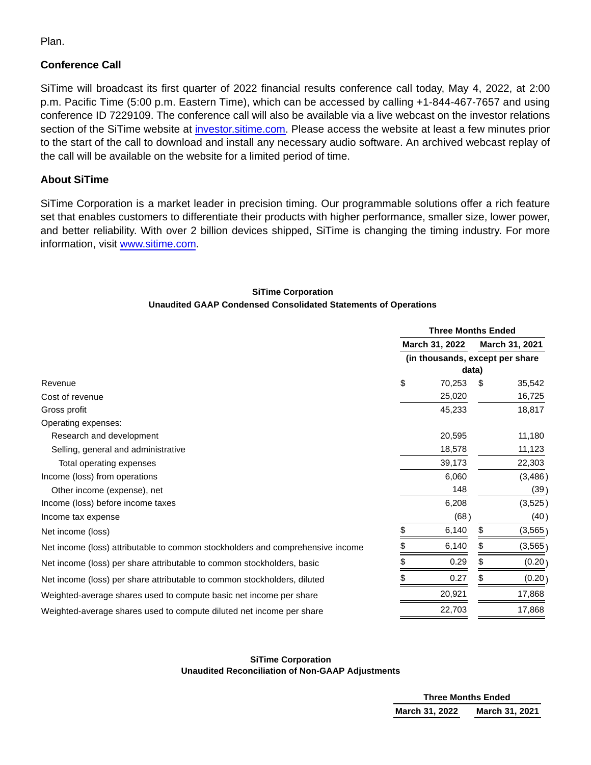Plan.

# **Conference Call**

SiTime will broadcast its first quarter of 2022 financial results conference call today, May 4, 2022, at 2:00 p.m. Pacific Time (5:00 p.m. Eastern Time), which can be accessed by calling +1-844-467-7657 and using conference ID 7229109. The conference call will also be available via a live webcast on the investor relations section of the SiTime website at [investor.sitime.com.](https://www.globenewswire.com/Tracker?data=8plfv_-X9eI8R5_jCaaZXxOJbuBw1vUwpibLMulziXO_LjpbGBvsBMn8Dv-Tm0_3XaAb0oXBonTGA21wZsFnRQG8xKYpKJ0idM6a1elgfEDRKILfYKdXb5qzMWfbekdQu9ynYsp8Pa4gzc30nW0kOQ==) Please access the website at least a few minutes prior to the start of the call to download and install any necessary audio software. An archived webcast replay of the call will be available on the website for a limited period of time.

# **About SiTime**

SiTime Corporation is a market leader in precision timing. Our programmable solutions offer a rich feature set that enables customers to differentiate their products with higher performance, smaller size, lower power, and better reliability. With over 2 billion devices shipped, SiTime is changing the timing industry. For more information, visit [www.sitime.com.](https://www.globenewswire.com/Tracker?data=U8GjYezmKr3Vh5hrHxQJFufQenWcnYXrq70PW1eIWOJp4Ja73QUudM2U7S3oa0Kdn8zooo-akYCkZp8wearmbg==)

## **SiTime Corporation Unaudited GAAP Condensed Consolidated Statements of Operations**

|                                                                                | <b>Three Months Ended</b>        |        |                |          |
|--------------------------------------------------------------------------------|----------------------------------|--------|----------------|----------|
|                                                                                | March 31, 2022                   |        | March 31, 2021 |          |
|                                                                                | (in thousands, except per share) |        |                |          |
|                                                                                |                                  |        | data)          |          |
| Revenue                                                                        | \$                               | 70,253 | \$.            | 35,542   |
| Cost of revenue                                                                |                                  | 25,020 |                | 16,725   |
| Gross profit                                                                   |                                  | 45,233 |                | 18,817   |
| Operating expenses:                                                            |                                  |        |                |          |
| Research and development                                                       |                                  | 20,595 |                | 11,180   |
| Selling, general and administrative                                            |                                  | 18,578 |                | 11,123   |
| Total operating expenses                                                       |                                  | 39,173 |                | 22,303   |
| Income (loss) from operations                                                  |                                  | 6,060  |                | (3, 486) |
| Other income (expense), net                                                    |                                  | 148    |                | (39)     |
| Income (loss) before income taxes                                              |                                  | 6,208  |                | (3,525)  |
| Income tax expense                                                             |                                  | (68)   |                | (40)     |
| Net income (loss)                                                              | \$                               | 6,140  | \$             | (3, 565) |
| Net income (loss) attributable to common stockholders and comprehensive income |                                  | 6,140  |                | (3, 565) |
| Net income (loss) per share attributable to common stockholders, basic         |                                  | 0.29   |                | (0.20)   |
| Net income (loss) per share attributable to common stockholders, diluted       |                                  | 0.27   |                | (0.20)   |
| Weighted-average shares used to compute basic net income per share             |                                  | 20,921 |                | 17,868   |
| Weighted-average shares used to compute diluted net income per share           |                                  | 22,703 |                | 17,868   |

## **SiTime Corporation Unaudited Reconciliation of Non-GAAP Adjustments**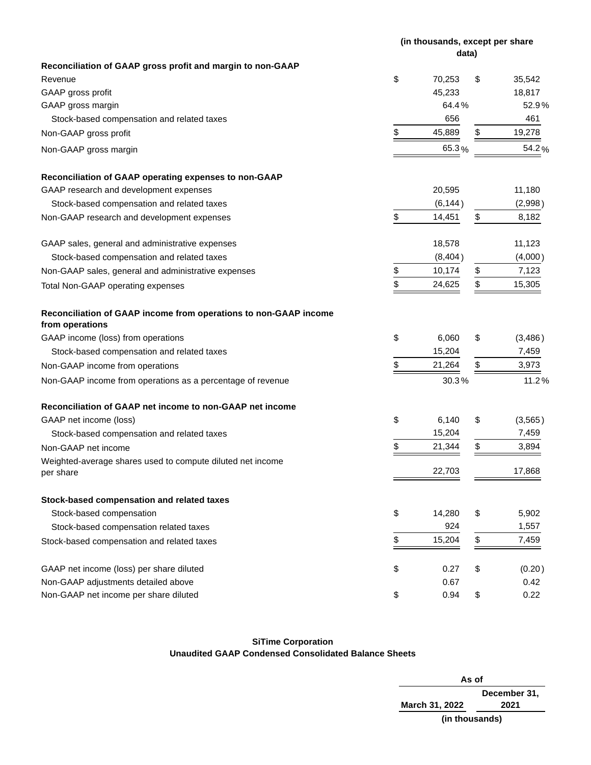|                                                                                     |               | (in thousands, except per share<br>data) |    |          |  |
|-------------------------------------------------------------------------------------|---------------|------------------------------------------|----|----------|--|
| Reconciliation of GAAP gross profit and margin to non-GAAP                          |               |                                          |    |          |  |
| Revenue                                                                             | \$            | 70,253                                   | \$ | 35,542   |  |
| GAAP gross profit                                                                   |               | 45,233                                   |    | 18,817   |  |
| GAAP gross margin                                                                   |               | 64.4%                                    |    | 52.9%    |  |
| Stock-based compensation and related taxes                                          |               | 656                                      |    | 461      |  |
| Non-GAAP gross profit                                                               | \$            | 45,889                                   | \$ | 19,278   |  |
| Non-GAAP gross margin                                                               |               | 65.3%                                    |    | 54.2%    |  |
| Reconciliation of GAAP operating expenses to non-GAAP                               |               |                                          |    |          |  |
| GAAP research and development expenses                                              |               | 20,595                                   |    | 11,180   |  |
| Stock-based compensation and related taxes                                          |               | (6, 144)                                 |    | (2,998)  |  |
| Non-GAAP research and development expenses                                          | \$            | 14,451                                   | \$ | 8,182    |  |
| GAAP sales, general and administrative expenses                                     |               | 18,578                                   |    | 11,123   |  |
| Stock-based compensation and related taxes                                          |               | (8,404)                                  |    | (4,000)  |  |
| Non-GAAP sales, general and administrative expenses                                 | $\frac{1}{2}$ | 10,174                                   | \$ | 7,123    |  |
| Total Non-GAAP operating expenses                                                   | \$            | 24,625                                   | \$ | 15,305   |  |
| Reconciliation of GAAP income from operations to non-GAAP income<br>from operations |               |                                          |    |          |  |
| GAAP income (loss) from operations                                                  | \$            | 6,060                                    | \$ | (3,486)  |  |
| Stock-based compensation and related taxes                                          |               | 15,204                                   |    | 7,459    |  |
| Non-GAAP income from operations                                                     | \$            | 21,264                                   | \$ | 3,973    |  |
| Non-GAAP income from operations as a percentage of revenue                          |               | 30.3%                                    |    | 11.2%    |  |
| Reconciliation of GAAP net income to non-GAAP net income                            |               |                                          |    |          |  |
| GAAP net income (loss)                                                              | \$            | 6,140                                    | \$ | (3, 565) |  |
| Stock-based compensation and related taxes                                          |               | 15,204                                   |    | 7,459    |  |
| Non-GAAP net income                                                                 | \$            | 21,344                                   | \$ | 3,894    |  |
| Weighted-average shares used to compute diluted net income                          |               | 22,703                                   |    | 17,868   |  |
| per share                                                                           |               |                                          |    |          |  |
| Stock-based compensation and related taxes                                          |               |                                          |    |          |  |
| Stock-based compensation                                                            | \$            | 14,280                                   | \$ | 5,902    |  |
| Stock-based compensation related taxes                                              |               | 924                                      |    | 1,557    |  |
| Stock-based compensation and related taxes                                          | \$            | 15,204                                   | \$ | 7,459    |  |
| GAAP net income (loss) per share diluted                                            | \$            | 0.27                                     | \$ | (0.20)   |  |
| Non-GAAP adjustments detailed above                                                 |               | 0.67                                     |    | 0.42     |  |
| Non-GAAP net income per share diluted                                               | \$            | 0.94                                     | \$ | 0.22     |  |

## **SiTime Corporation Unaudited GAAP Condensed Consolidated Balance Sheets**